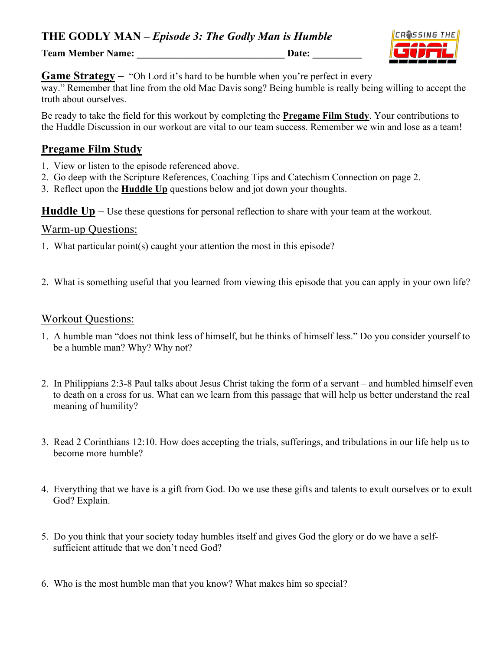**THE GODLY MAN –** *Episode 3: The Godly Man is Humble*

**Team Member Name:** Date:



**Game Strategy –** "Oh Lord it's hard to be humble when you're perfect in every

way." Remember that line from the old Mac Davis song? Being humble is really being willing to accept the truth about ourselves.

Be ready to take the field for this workout by completing the **Pregame Film Study**. Your contributions to the Huddle Discussion in our workout are vital to our team success. Remember we win and lose as a team!

# **Pregame Film Study**

- 1. View or listen to the episode referenced above.
- 2. Go deep with the Scripture References, Coaching Tips and Catechism Connection on page 2.
- 3. Reflect upon the **Huddle Up** questions below and jot down your thoughts.

**Huddle Up** – Use these questions for personal reflection to share with your team at the workout.

#### Warm-up Questions:

- 1. What particular point(s) caught your attention the most in this episode?
- 2. What is something useful that you learned from viewing this episode that you can apply in your own life?

#### Workout Questions:

- 1. A humble man "does not think less of himself, but he thinks of himself less." Do you consider yourself to be a humble man? Why? Why not?
- 2. In Philippians 2:3-8 Paul talks about Jesus Christ taking the form of a servant and humbled himself even to death on a cross for us. What can we learn from this passage that will help us better understand the real meaning of humility?
- 3. Read 2 Corinthians 12:10. How does accepting the trials, sufferings, and tribulations in our life help us to become more humble?
- 4. Everything that we have is a gift from God. Do we use these gifts and talents to exult ourselves or to exult God? Explain.
- 5. Do you think that your society today humbles itself and gives God the glory or do we have a selfsufficient attitude that we don't need God?
- 6. Who is the most humble man that you know? What makes him so special?